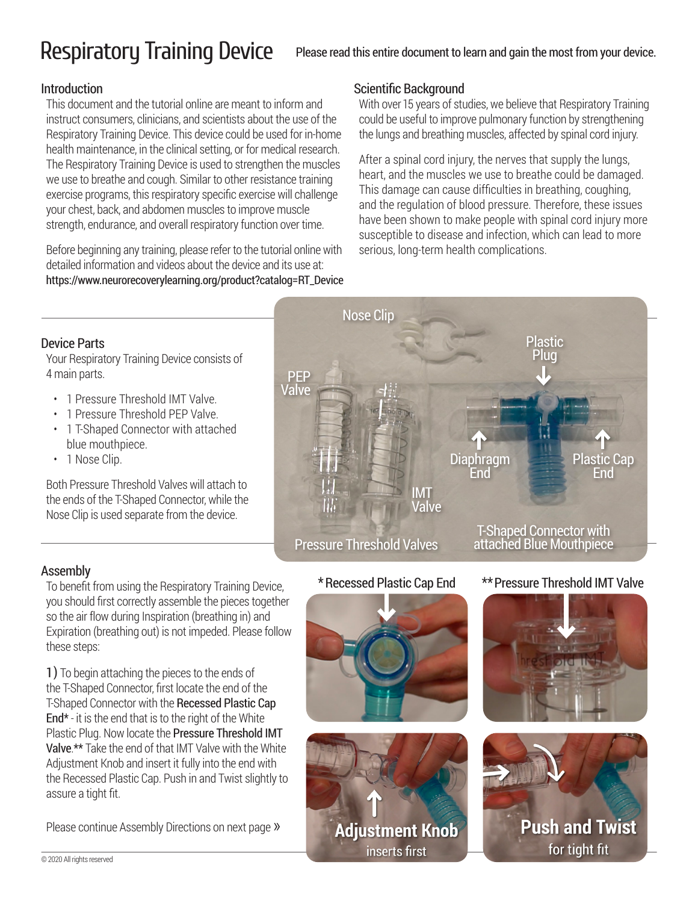# Respiratory Training Device

### Please read this entire document to learn and gain the most from your device.

#### Introduction

This document and the tutorial online are meant to inform and instruct consumers, clinicians, and scientists about the use of the Respiratory Training Device. This device could be used for in-home health maintenance, in the clinical setting, or for medical research. The Respiratory Training Device is used to strengthen the muscles we use to breathe and cough. Similar to other resistance training exercise programs, this respiratory specific exercise will challenge your chest, back, and abdomen muscles to improve muscle strength, endurance, and overall respiratory function over time.

Before beginning any training, please refer to the tutorial online with detailed information and videos about the device and its use at: https://www.neurorecoverylearning.org/product?catalog=RT\_Device

### Scientific Background

With over 15 years of studies, we believe that Respiratory Training could be useful to improve pulmonary function by strengthening the lungs and breathing muscles, affected by spinal cord injury.

After a spinal cord injury, the nerves that supply the lungs, heart, and the muscles we use to breathe could be damaged. This damage can cause difficulties in breathing, coughing, and the regulation of blood pressure. Therefore, these issues have been shown to make people with spinal cord injury more susceptible to disease and infection, which can lead to more serious, long-term health complications.

### Device Parts

Your Respiratory Training Device consists of 4 main parts.

- 1 Pressure Threshold IMT Valve.
- 1 Pressure Threshold PEP Valve.
- 1 T-Shaped Connector with attached blue mouthpiece.
- 1 Nose Clip.

Both Pressure Threshold Valves will attach to the ends of the T-Shaped Connector, while the Nose Clip is used separate from the device.



Assembly<br>To benefit from using the Respiratory Training Device,  $\quad$  \* Recessed Plastic Cap End  $\quad$  \*\* Pressure Threshold IMT Valve you should first correctly assemble the pieces together so the air flow during Inspiration (breathing in) and Expiration (breathing out) is not impeded. Please follow these steps:

1) To begin attaching the pieces to the ends of the T-Shaped Connector, first locate the end of the T-Shaped Connector with the Recessed Plastic Cap End $*$  - it is the end that is to the right of the White Plastic Plug. Now locate the Pressure Threshold IMT Valve.\*\* Take the end of that IMT Valve with the White Adjustment Knob and insert it fully into the end with the Recessed Plastic Cap. Push in and Twist slightly to assure a tight fit.

Please continue Assembly Directions on next page »

### \*Recessed Plastic Cap End







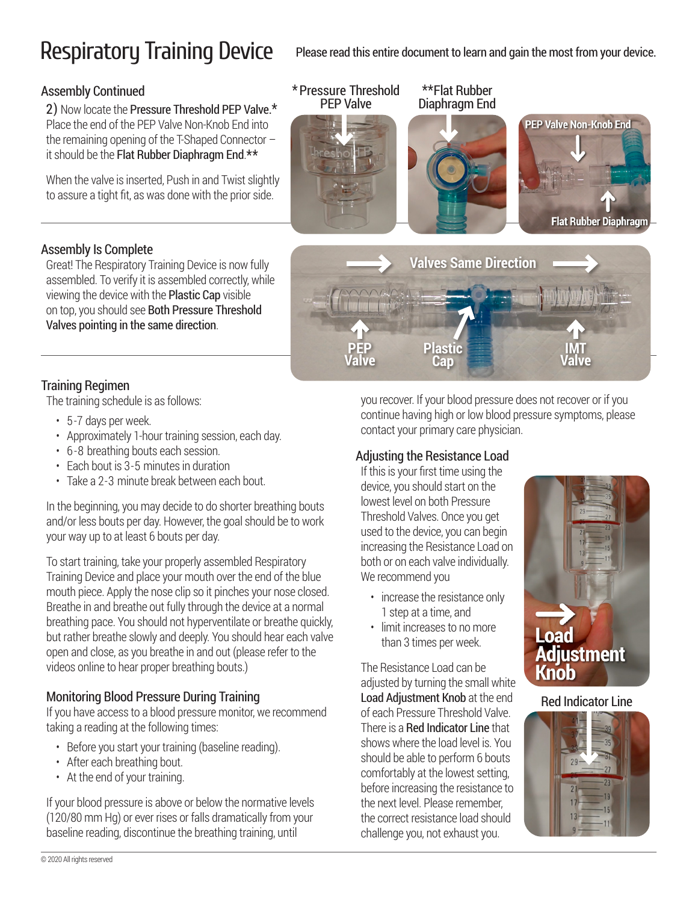## Respiratory Training Device Please read this entire document to learn and gain the most from your device.

### Assembly Continued

2) Now locate the Pressure Threshold PEP Valve.\* Place the end of the PEP Valve Non-Knob End into the remaining opening of the T-Shaped Connector – it should be the Flat Rubber Diaphragm End.\*\*

When the valve is inserted, Push in and Twist slightly to assure a tight fit, as was done with the prior side.



### Assembly Is Complete

Great! The Respiratory Training Device is now fully assembled. To verify it is assembled correctly, while viewing the device with the Plastic Cap visible on top, you should see Both Pressure Threshold Valves pointing in the same direction.

### Training Regimen

The training schedule is as follows:

- 5-7 days per week.
- Approximately 1-hour training session, each day.
- 6 -8 breathing bouts each session.
- Each bout is 3-5 minutes in duration
- Take a 2-3 minute break between each bout.

In the beginning, you may decide to do shorter breathing bouts and/or less bouts per day. However, the goal should be to work your way up to at least 6 bouts per day.

To start training, take your properly assembled Respiratory Training Device and place your mouth over the end of the blue mouth piece. Apply the nose clip so it pinches your nose closed. Breathe in and breathe out fully through the device at a normal breathing pace. You should not hyperventilate or breathe quickly, but rather breathe slowly and deeply. You should hear each valve open and close, as you breathe in and out (please refer to the videos online to hear proper breathing bouts.)

#### Monitoring Blood Pressure During Training

If you have access to a blood pressure monitor, we recommend taking a reading at the following times:

- Before you start your training (baseline reading).
- After each breathing bout.
- At the end of your training.

If your blood pressure is above or below the normative levels (120/80 mm Hg) or ever rises or falls dramatically from your baseline reading, discontinue the breathing training, until

you recover. If your blood pressure does not recover or if you continue having high or low blood pressure symptoms, please contact your primary care physician.

#### Adjusting the Resistance Load

**Plastic Cap**

**PEP Valve**

> If this is your first time using the device, you should start on the lowest level on both Pressure Threshold Valves. Once you get used to the device, you can begin increasing the Resistance Load on both or on each valve individually. We recommend you

- increase the resistance only 1 step at a time, and
- limit increases to no more than 3 times per week.

The Resistance Load can be adjusted by turning the small white Load Adjustment Knob at the end of each Pressure Threshold Valve. There is a Red Indicator Line that shows where the load level is. You should be able to perform 6 bouts comfortably at the lowest setting, before increasing the resistance to the next level. Please remember, the correct resistance load should challenge you, not exhaust you.



**IMT Valve**

#### Red Indicator Line